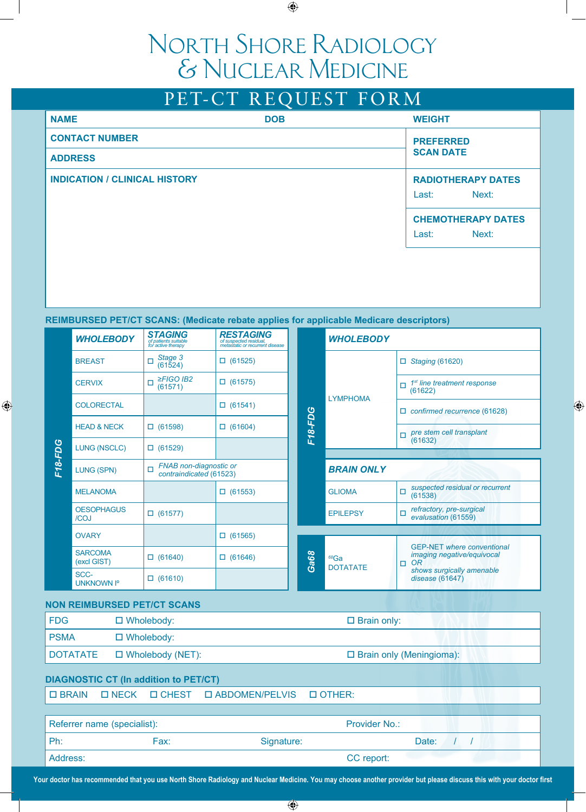# North Shore Radiology & Nuclear Medicine

|                       |                                      |                                                             | PET-CT REQUEST FORM                                                                                               |                                             |                                             |                                                                            |  |  |
|-----------------------|--------------------------------------|-------------------------------------------------------------|-------------------------------------------------------------------------------------------------------------------|---------------------------------------------|---------------------------------------------|----------------------------------------------------------------------------|--|--|
| <b>NAME</b>           |                                      |                                                             | <b>DOB</b>                                                                                                        |                                             |                                             | <b>WEIGHT</b>                                                              |  |  |
| <b>CONTACT NUMBER</b> |                                      |                                                             |                                                                                                                   |                                             |                                             | <b>PREFERRED</b>                                                           |  |  |
|                       | <b>SCAN DATE</b><br><b>ADDRESS</b>   |                                                             |                                                                                                                   |                                             |                                             |                                                                            |  |  |
|                       | <b>INDICATION / CLINICAL HISTORY</b> |                                                             |                                                                                                                   | <b>RADIOTHERAPY DATES</b><br>Next:<br>Last: |                                             |                                                                            |  |  |
|                       |                                      |                                                             |                                                                                                                   |                                             | <b>CHEMOTHERAPY DATES</b><br>Last:<br>Next: |                                                                            |  |  |
|                       |                                      |                                                             |                                                                                                                   |                                             |                                             |                                                                            |  |  |
|                       |                                      | <b>STAGING</b>                                              | <b>REIMBURSED PET/CT SCANS: (Medicate rebate applies for applicable Medicare descriptors)</b><br><b>RESTAGING</b> |                                             |                                             |                                                                            |  |  |
|                       | <b>WHOLEBODY</b>                     | of patients suitable<br>for active therapy                  | of suspected residual,<br>metastatic or recurrent disease                                                         | <b>WHOLEBODY</b>                            |                                             |                                                                            |  |  |
|                       | <b>BREAST</b>                        | Stage 3<br>□<br>(61524)                                     | $\Box$ (61525)                                                                                                    |                                             |                                             | $\Box$ Staging (61620)                                                     |  |  |
|                       | <b>CERVIX</b>                        | $\geq$ FIGO IB2<br>$\Box$<br>(61571)                        | $\Box$ (61575)                                                                                                    |                                             | <b>LYMPHOMA</b>                             | 1 <sup>st</sup> line treatment response<br>п<br>(61622)                    |  |  |
|                       | <b>COLORECTAL</b>                    |                                                             | $\Box$ (61541)                                                                                                    |                                             |                                             | $\Box$ confirmed recurrence (61628)                                        |  |  |
| <b>F18-FDG</b>        | <b>HEAD &amp; NECK</b>               | $\Box$ (61598)                                              | $\Box$ (61604)                                                                                                    | <b>F18-FDG</b>                              |                                             | pre stem cell transplant<br>п                                              |  |  |
|                       | <b>LUNG (NSCLC)</b>                  | $\Box$ (61529)                                              |                                                                                                                   |                                             |                                             | (61632)                                                                    |  |  |
|                       | LUNG (SPN)                           | FNAB non-diagnostic or<br>$\Box$<br>contraindicated (61523) |                                                                                                                   |                                             | <b>BRAIN ONLY</b>                           |                                                                            |  |  |
|                       | <b>MELANOMA</b>                      |                                                             | $\Box$ (61553)                                                                                                    |                                             | <b>GLIOMA</b>                               | suspected residual or recurrent<br>□<br>(61538)                            |  |  |
|                       | <b>OESOPHAGUS</b><br>/COJ            | $\Box$ (61577)                                              |                                                                                                                   |                                             | <b>EPILEPSY</b>                             | refractory, pre-surgical<br>п<br>evalusation (61559)                       |  |  |
|                       | <b>OVARY</b>                         |                                                             | $\Box$ (61565)                                                                                                    |                                             |                                             |                                                                            |  |  |
|                       | <b>SARCOMA</b><br>(excl GIST)        | $\Box$ (61640)                                              | $\Box$ (61646)                                                                                                    | Ga68                                        | $68$ Ga<br><b>DOTATATE</b>                  | <b>GEP-NET where conventional</b><br>imaging negative/equivocal<br>OR<br>□ |  |  |
|                       | SCC-                                 | $\Box$ (61610)                                              |                                                                                                                   |                                             |                                             | shows surgically amenable<br>disease (61647)                               |  |  |

## **NON REIMBURSED PET/CT SCANS**

UNKNOWN Iº

| <b>FDG</b>                                   | $\Box$ Wholebody: |                         |                                             | $\Box$ Brain only:              |  |  |
|----------------------------------------------|-------------------|-------------------------|---------------------------------------------|---------------------------------|--|--|
| <b>PSMA</b>                                  | $\Box$ Wholebody: |                         |                                             |                                 |  |  |
| <b>DOTATATE</b>                              |                   | $\Box$ Wholebody (NET): |                                             | $\Box$ Brain only (Meningioma): |  |  |
| <b>DIAGNOSTIC CT (In addition to PET/CT)</b> |                   |                         |                                             |                                 |  |  |
| $\Box$ BRAIN                                 |                   |                         | <b>ONECK OCHEST OABDOMEN/PELVIS OOTHER:</b> |                                 |  |  |
|                                              |                   |                         |                                             |                                 |  |  |
| Doforror namo (enocialiet):                  |                   |                         |                                             | Dravidor No.                    |  |  |

 *disease* (61647)

| Referrer name (specialist): |      |            | <b>Provider No.:</b> |       |  |
|-----------------------------|------|------------|----------------------|-------|--|
| Ph:                         | Fax: | Signature: |                      | Date: |  |
| Address:                    |      |            | CC report:           |       |  |